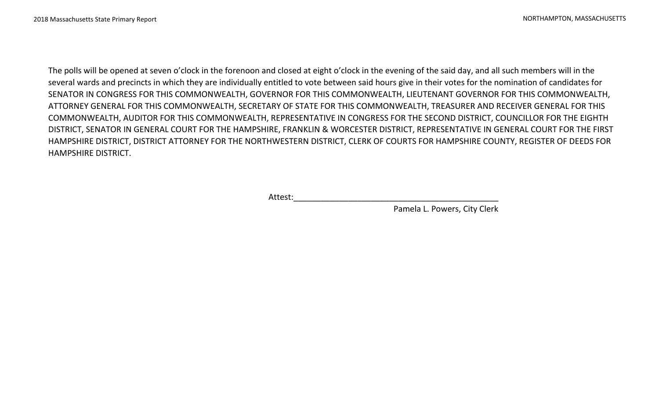The polls will be opened at seven o'clock in the forenoon and closed at eight o'clock in the evening of the said day, and all such members will in the several wards and precincts in which they are individually entitled to vote between said hours give in their votes for the nomination of candidates for SENATOR IN CONGRESS FOR THIS COMMONWEALTH, GOVERNOR FOR THIS COMMONWEALTH, LIEUTENANT GOVERNOR FOR THIS COMMONWEALTH, ATTORNEY GENERAL FOR THIS COMMONWEALTH, SECRETARY OF STATE FOR THIS COMMONWEALTH, TREASURER AND RECEIVER GENERAL FOR THIS COMMONWEALTH, AUDITOR FOR THIS COMMONWEALTH, REPRESENTATIVE IN CONGRESS FOR THE SECOND DISTRICT, COUNCILLOR FOR THE EIGHTH DISTRICT, SENATOR IN GENERAL COURT FOR THE HAMPSHIRE, FRANKLIN & WORCESTER DISTRICT, REPRESENTATIVE IN GENERAL COURT FOR THE FIRST HAMPSHIRE DISTRICT, DISTRICT ATTORNEY FOR THE NORTHWESTERN DISTRICT, CLERK OF COURTS FOR HAMPSHIRE COUNTY, REGISTER OF DEEDS FOR HAMPSHIRE DISTRICT.

Attest:\_\_\_\_\_\_\_\_\_\_\_\_\_\_\_\_\_\_\_\_\_\_\_\_\_\_\_\_\_\_\_\_\_\_\_\_\_\_\_\_\_\_\_\_\_

Pamela L. Powers, City Clerk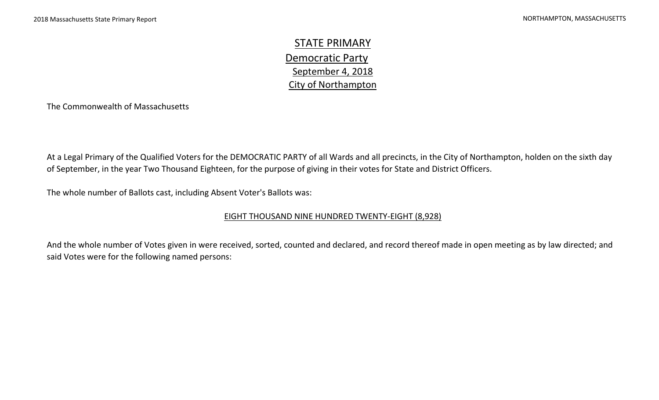STATE PRIMARY September 4, 2018 City of Northampton Democratic Party

The Commonwealth of Massachusetts

At a Legal Primary of the Qualified Voters for the DEMOCRATIC PARTY of all Wards and all precincts, in the City of Northampton, holden on the sixth day of September, in the year Two Thousand Eighteen, for the purpose of giving in their votes for State and District Officers.

The whole number of Ballots cast, including Absent Voter's Ballots was:

#### EIGHT THOUSAND NINE HUNDRED TWENTY-EIGHT (8,928)

And the whole number of Votes given in were received, sorted, counted and declared, and record thereof made in open meeting as by law directed; and said Votes were for the following named persons: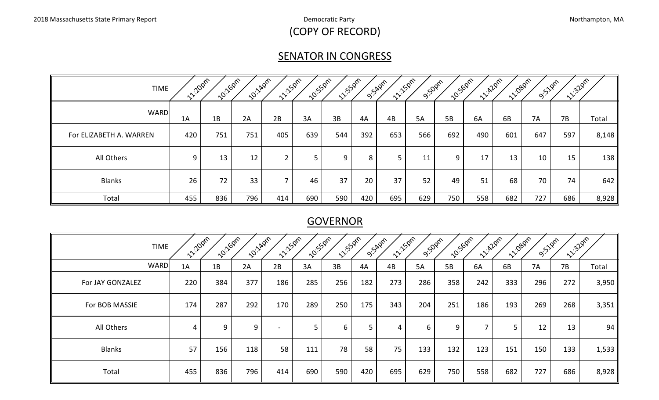# (COPY OF RECORD)

# **SENATOR IN CONGRESS**

| <b>TIME</b>             | <b>12-20pm</b> | <b>10:16pm</b> | <b>10:140m</b> | <b>11:50m</b> | <b>10:55pm</b> | <b>11:52pm</b> |     | <b>11:150m</b><br><b>9.54</b> 2m | 9:50pm | <b>10:50pm</b> | <b>11: 429m</b> | 11:080m | 9:52pm | <b>11:32pm</b> |       |
|-------------------------|----------------|----------------|----------------|---------------|----------------|----------------|-----|----------------------------------|--------|----------------|-----------------|---------|--------|----------------|-------|
| <b>WARD</b>             | 1A             | 1B             | 2A             | 2B            | 3A             | 3B             | 4A  | 4B                               | 5A     | 5B             | 6A              | 6B      | 7A     | 7B             | Total |
| For ELIZABETH A. WARREN | 420            | 751            | 751            | 405           | 639            | 544            | 392 | 653                              | 566    | 692            | 490             | 601     | 647    | 597            | 8,148 |
| All Others              | 9              | 13             | 12             |               |                | 9.             | 8   |                                  | 11     | 9              | 17              | 13      | 10     | 15             | 138   |
| <b>Blanks</b>           | 26             | 72             | 33             |               | 46             | 37             | 20  | 37                               | 52     | 49             | 51              | 68      | 70     | 74             | 642   |
| Total                   | 455            | 836            | 796            | 414           | 690            | 590            | 420 | 695                              | 629    | 750            | 558             | 682     | 727    | 686            | 8,928 |

# **GOVERNOR**

|                  | <b>TIME</b> | <b>11:20pm</b> | <b>10:16pm</b> | <b>10:140M</b> | <b>11:150m</b>           | <b>10:55pm</b> | <b>11/55pm</b> |     | <b>11:150M</b><br>O.SAPPT | <b>9:50pm</b> | <b>10:50pm</b> | <b>1220m</b> | <b>11-1080m</b> | <b>9.52</b> pm | 11:32pm |       |
|------------------|-------------|----------------|----------------|----------------|--------------------------|----------------|----------------|-----|---------------------------|---------------|----------------|--------------|-----------------|----------------|---------|-------|
|                  | <b>WARD</b> | 1A             | 1B             | 2A             | 2B                       | 3A             | 3B             | 4A  | 4B                        | <b>5A</b>     | 5B             | 6A           | 6B              | <b>7A</b>      | 7B      | Total |
| For JAY GONZALEZ |             | 220            | 384            | 377            | 186                      | 285            | 256            | 182 | 273                       | 286           | 358            | 242          | 333             | 296            | 272     | 3,950 |
| For BOB MASSIE   |             | 174            | 287            | 292            | 170                      | 289            | 250            | 175 | 343                       | 204           | 251            | 186          | 193             | 269            | 268     | 3,351 |
| All Others       |             | 4              | 9              | 9              | $\overline{\phantom{a}}$ | 5              | 6              | 5   | 4                         | 6             | 9              | ⇁            | 5               | 12             | 13      | 94    |
| <b>Blanks</b>    |             | 57             | 156            | 118            | 58                       | 111            | 78             | 58  | 75                        | 133           | 132            | 123          | 151             | 150            | 133     | 1,533 |
| Total<br>5Ι      |             | 455            | 836            | 796            | 414                      | 690            | 590            | 420 | 695                       | 629           | 750            | 558          | 682             | 727            | 686     | 8,928 |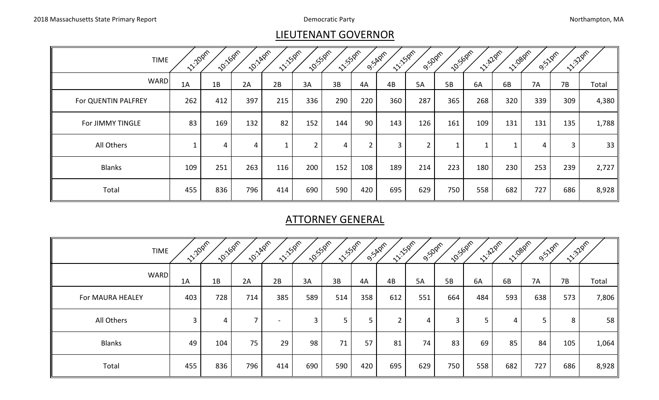# LIEUTENANT GOVERNOR

| <b>TIME</b>         | <b>11:20pm</b> | <b>10:160m</b> | <b>10:140m</b> | <b>11:150m</b> | <b>10:</b> 550m | <b>11:50ml</b> |                | O.SARDIN | <b>11:150m</b><br><b>9:50pm</b> |     | <b>10:50pm</b> | <b>12.22pm</b> | <b>11-1080M</b><br>O. SZPM | 1.320m         |       |
|---------------------|----------------|----------------|----------------|----------------|-----------------|----------------|----------------|----------|---------------------------------|-----|----------------|----------------|----------------------------|----------------|-------|
| <b>WARD</b>         | 1A             | 1B             | 2A             | 2B             | 3A              | 3B             | 4A             | 4B       | <b>5A</b>                       | 5B  | 6A             | 6B             | <b>7A</b>                  | 7B             | Total |
| For QUENTIN PALFREY | 262            | 412            | 397            | 215            | 336             | 290            | 220            | 360      | 287                             | 365 | 268            | 320            | 339                        | 309            | 4,380 |
| For JIMMY TINGLE    | 83             | 169            | 132            | 82             | 152             | 144            | 90             | 143      | 126                             | 161 | 109            | 131            | 131                        | 135            | 1,788 |
| All Others          |                | $\overline{4}$ | $\overline{4}$ |                | $\overline{2}$  | $\overline{4}$ | $\overline{2}$ | 3        | $\overline{2}$                  |     |                |                | 4                          | $\overline{3}$ | 33    |
| <b>Blanks</b>       | 109            | 251            | 263            | 116            | 200             | 152            | 108            | 189      | 214                             | 223 | 180            | 230            | 253                        | 239            | 2,727 |
| Total               | 455            | 836            | 796            | 414            | 690             | 590            | 420            | 695      | 629                             | 750 | 558            | 682            | 727                        | 686            | 8,928 |

# ATTORNEY GENERAL

| <b>TIME</b>      | <b>11:20pm</b> | 10:160m | <b>10:14pm</b> | <b>11:150m</b> | 10:550m      | <b>11/5/2m2</b> |     | <b>11:150m</b><br><b>9:54pm</b> | <b>9:50pm</b> | <b>10:50pm</b> | <b>11-12</b> Pre | <b>11:080m</b> | O. SZPIR | 11:32 pm |                 |
|------------------|----------------|---------|----------------|----------------|--------------|-----------------|-----|---------------------------------|---------------|----------------|------------------|----------------|----------|----------|-----------------|
| <b>WARD</b>      | 1A             | 1B      | 2A             | 2B             | 3A           | 3B              | 4A  | 4B                              | <b>5A</b>     | 5B             | 6A               | 6B             | 7A       | 7B       | Total           |
| For MAURA HEALEY | 403            | 728     | 714            | 385            | 589          | 514             | 358 | 612                             | 551           | 664            | 484              | 593            | 638      | 573      | 7,806           |
| All Others       | 3              | 4       | –              | $\blacksquare$ | $\mathbf{3}$ | 5               | 5   | $\overline{\phantom{0}}$<br>∠   | 4             | 3              | 5                | 4              |          | 8        | 58 <sub>1</sub> |
| <b>Blanks</b>    | 49             | 104     | 75             | 29             | 98           | 71              | 57  | 81                              | 74            | 83             | 69               | 85             | 84       | 105      | 1,064           |
| Total            | 455            | 836     | 796            | 414            | 690          | 590             | 420 | 695                             | 629           | 750            | 558              | 682            | 727      | 686      | 8,928           |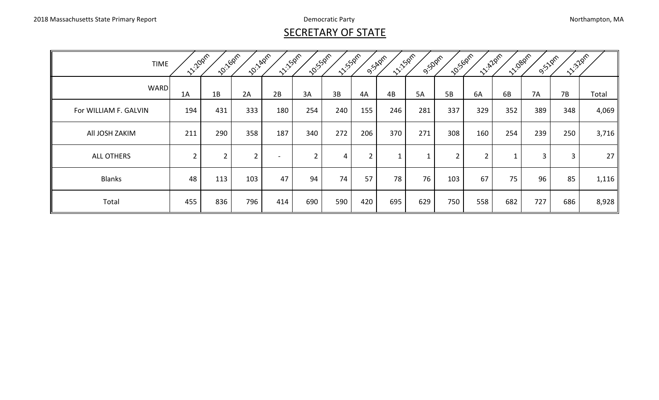# **SECRETARY OF STATE**

| <b>TIME</b>           | 11/10pm        | 10:160m        | <b>2011/40m</b> | 11:150m                  | <b>20:55</b> 0m | 11:55 pm |                | 11:50m<br>O.S.Apm | <b>9:50pm</b> | <b>10:50pm</b> | <b>12:420m</b> | 11/1080m | <b>9:51pm</b> | 11:32pm |       |
|-----------------------|----------------|----------------|-----------------|--------------------------|-----------------|----------|----------------|-------------------|---------------|----------------|----------------|----------|---------------|---------|-------|
| <b>WARD</b>           | 1A             | 1B             | 2A              | 2B                       | 3A              | 3B       | 4A             | 4B                | <b>5A</b>     | <b>5B</b>      | 6A             | 6B       | <b>7A</b>     | 7B      | Total |
| For WILLIAM F. GALVIN | 194            | 431            | 333             | 180                      | 254             | 240      | 155            | 246               | 281           | 337            | 329            | 352      | 389           | 348     | 4,069 |
| All JOSH ZAKIM        | 211            | 290            | 358             | 187                      | 340             | 272      | 206            | 370               | 271           | 308            | 160            | 254      | 239           | 250     | 3,716 |
| <b>ALL OTHERS</b>     | $\overline{2}$ | $\overline{2}$ | $\overline{2}$  | $\overline{\phantom{a}}$ | $\overline{2}$  | 4        | $\overline{2}$ |                   |               | $\overline{2}$ | $\overline{2}$ |          | 3             | 3       | 27    |
| <b>Blanks</b>         | 48             | 113            | 103             | 47                       | 94              | 74       | 57             | 78                | 76            | 103            | 67             | 75       | 96            | 85      | 1,116 |
| Total                 | 455            | 836            | 796             | 414                      | 690             | 590      | 420            | 695               | 629           | 750            | 558            | 682      | 727           | 686     | 8,928 |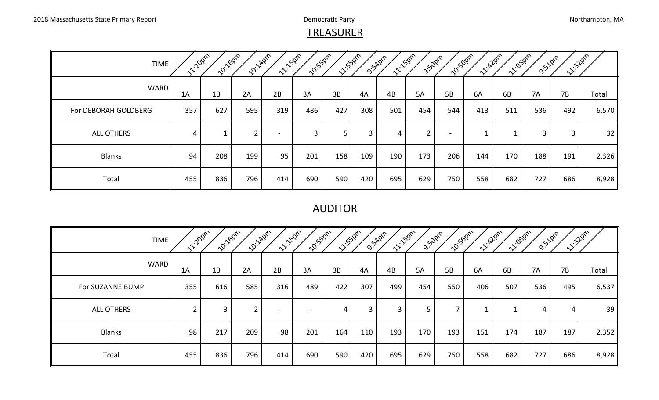#### **TREASURER**

| <b>TIME</b>          | <b>1220pm</b> | <b>10:16pm</b> | <b>10:140M</b> | <b>11:150m</b>           | <b>10:53pm</b> | <b>11:52pm</b> |     | <b>11.150m</b><br>O.S.Aprr | <b>9:50pm</b>  | <b>10:50pm</b>           | <b>11:A20m</b> | <b>11-1080M</b> | 9:52pm | <b>11:32pm</b> |       |
|----------------------|---------------|----------------|----------------|--------------------------|----------------|----------------|-----|----------------------------|----------------|--------------------------|----------------|-----------------|--------|----------------|-------|
| <b>WARD</b>          | 1A            | 1B             | 2A             | 2B                       | 3A             | 3B             | 4A  | 4B                         | 5A             | <b>5B</b>                | 6A             | 6B              | 7A     | 7B             | Total |
| For DEBORAH GOLDBERG | 357           | 627            | 595            | 319                      | 486            | 427            | 308 | 501                        | 454            | 544                      | 413            | 511             | 536    | 492            | 6,570 |
| <b>ALL OTHERS</b>    | 4             |                | $\overline{2}$ | $\overline{\phantom{0}}$ | 3              | 5 <sup>5</sup> | 3   | 4                          | $\overline{2}$ | $\overline{\phantom{a}}$ |                |                 | 3      | 3              | 32    |
| <b>Blanks</b>        | 94            | 208            | 199            | 95                       | 201            | 158            | 109 | 190                        | 173            | 206                      | 144            | 170             | 188    | 191            | 2,326 |
| Total                | 455           | 836            | 796            | 414                      | 690            | 590            | 420 | 695                        | 629            | 750                      | 558            | 682             | 727    | 686            | 8,928 |

#### AUDITOR

| <b>TIME</b>       | <b>12/2021</b> | 10:160m | <b>10:140m</b> | <b>11:150m</b>           | <b>10:55pm</b>           | <b>11:55pm</b> |                | <b>11:150m</b><br>O.S.Aprr | <b>9:50pm</b> | <b>10:50pm</b> | <b>11-A20m</b> |     | <b>11:080m</b><br><b>9:51</b> 0m | 11:32 pm |       |
|-------------------|----------------|---------|----------------|--------------------------|--------------------------|----------------|----------------|----------------------------|---------------|----------------|----------------|-----|----------------------------------|----------|-------|
| <b>WARD</b>       | 1A             | 1B      | 2A             | 2B                       | 3A                       | 3B             | 4A             | 4B                         | <b>5A</b>     | 5B             | 6A             | 6B  | <b>7A</b>                        | 7B       | Total |
| For SUZANNE BUMP  | 355            | 616     | 585            | 316                      | 489                      | 422            | 307            | 499                        | 454           | 550            | 406            | 507 | 536                              | 495      | 6,537 |
| <b>ALL OTHERS</b> | ำ              | 3       | <u>າ</u>       | $\overline{\phantom{0}}$ | $\overline{\phantom{a}}$ | $\overline{4}$ | $\overline{3}$ | 3                          | 5             |                | ᅩ              |     | 4                                | 4        | 39    |
| <b>Blanks</b>     | 98             | 217     | 209            | 98                       | 201                      | 164            | 110            | 193                        | 170           | 193            | 151            | 174 | 187                              | 187      | 2,352 |
| Total             | 455            | 836     | 796            | 414                      | 690                      | 590            | 420            | 695                        | 629           | 750            | 558            | 682 | 727                              | 686      | 8,928 |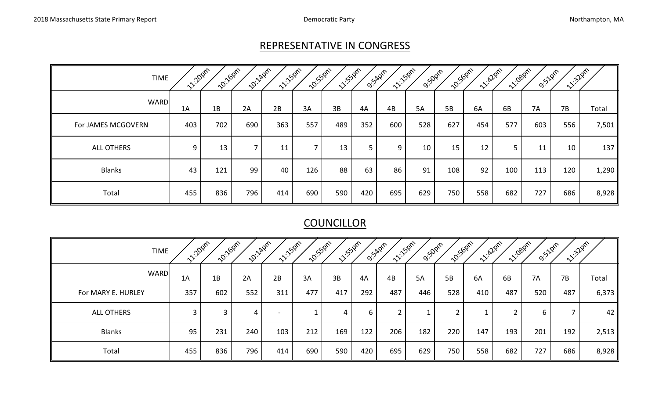## REPRESENTATIVE IN CONGRESS

| TIME               | <b>1220pm</b> | 10:160m | <b>10:14pm</b> | <b>11:50m</b> | <b>10:</b> 550m | <b>11/5/2nm</b> |     | <b>11-150m</b><br>O.S.A.Qrn | <b>9:50pm</b> | <b>10:50pm</b> |     | <b>11-1080M</b><br><b>11.420m</b> | <b>9:51pm</b> | <b>11:32pm</b> |       |
|--------------------|---------------|---------|----------------|---------------|-----------------|-----------------|-----|-----------------------------|---------------|----------------|-----|-----------------------------------|---------------|----------------|-------|
| <b>WARD</b>        | 1A            | 1B      | 2A             | 2B            | 3A              | 3B              | 4A  | 4B                          | <b>5A</b>     | 5B             | 6A  | 6B                                | <b>7A</b>     | 7B             | Total |
| For JAMES MCGOVERN | 403           | 702     | 690            | 363           | 557             | 489             | 352 | 600                         | 528           | 627            | 454 | 577                               | 603           | 556            | 7,501 |
| <b>ALL OTHERS</b>  | 9             | 13      | ⇁              | 11            | ⇁               | 13              | 5   | 9                           | 10            | 15             | 12  | 5                                 | 11            | 10             | 137   |
| <b>Blanks</b>      | 43            | 121     | 99             | 40            | 126             | 88              | 63  | 86                          | 91            | 108            | 92  | 100                               | 113           | 120            | 1,290 |
| Total              | 455           | 836     | 796            | 414           | 690             | 590             | 420 | 695                         | 629           | 750            | 558 | 682                               | 727           | 686            | 8,928 |

# **COUNCILLOR**

| <b>TIME</b>        | <b>11:20pm</b> | <b>10:16pm</b> | <b>20:14pm</b> | <b>11:50m</b>            | <b>10:</b> 55pm | <b>11-150M</b> |     | <b>11:150m</b><br>O.S.A.Prn   | <b>9:50pm</b> | <b>10:50pm</b> |     | <b>12.20m</b> | <b>11:080m</b><br><b>9:52PM</b> | <b>11:32</b> pm |       |
|--------------------|----------------|----------------|----------------|--------------------------|-----------------|----------------|-----|-------------------------------|---------------|----------------|-----|---------------|---------------------------------|-----------------|-------|
| <b>WARD</b>        | 1A             | 1B             | 2A             | 2B                       | 3A              | 3B             | 4A  | 4B                            | 5A            | 5B             | 6A  | 6B            | 7A                              | 7B              | Total |
| For MARY E. HURLEY | 357            | 602            | 552            | 311                      | 477             | 417            | 292 | 487                           | 446           | 528            | 410 | 487           | 520                             | 487             | 6,373 |
| ALL OTHERS         | 3              | 3              | 4              | $\overline{\phantom{a}}$ |                 | 4              | 6   | $\overline{\phantom{0}}$<br>∠ |               | ົ<br>∠         |     |               | 6                               |                 | 42    |
| <b>Blanks</b>      | 95             | 231            | 240            | 103                      | 212             | 169            | 122 | 206                           | 182           | 220            | 147 | 193           | 201                             | 192             | 2,513 |
| Total              | 455            | 836            | 796            | 414                      | 690             | 590            | 420 | 695                           | 629           | 750            | 558 | 682           | 727                             | 686             | 8,928 |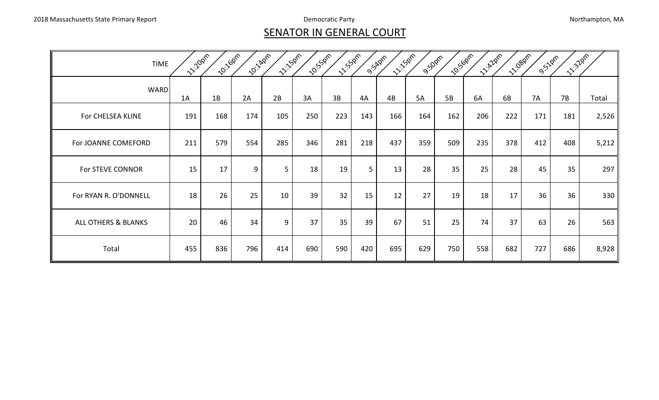#### **SENATOR IN GENERAL COURT**

| <b>TIME</b>           | 11:20pm | 10:160m | <b>10:140m</b> | 11:15 pm | 10:55.0ml | 11:550m |     | 11-15 Dans<br>9.SADM | <b>9.50pm</b> | <b>10:50pm</b> | <b>12:428m</b> | 11-1.080m | <b>9.51pm</b> | 11.32pm |       |
|-----------------------|---------|---------|----------------|----------|-----------|---------|-----|----------------------|---------------|----------------|----------------|-----------|---------------|---------|-------|
| <b>WARD</b>           | 1A      | 1B      | 2A             | 2B       | 3A        | 3B      | 4A  | 4B                   | <b>5A</b>     | 5B             | 6A             | 6B        | <b>7A</b>     | 7B      | Total |
| For CHELSEA KLINE     | 191     | 168     | 174            | 105      | 250       | 223     | 143 | 166                  | 164           | 162            | 206            | 222       | 171           | 181     | 2,526 |
| For JOANNE COMEFORD   | 211     | 579     | 554            | 285      | 346       | 281     | 218 | 437                  | 359           | 509            | 235            | 378       | 412           | 408     | 5,212 |
| For STEVE CONNOR      | 15      | 17      | 9              | 5        | 18        | 19      | 5   | 13                   | 28            | 35             | 25             | 28        | 45            | 35      | 297   |
| For RYAN R. O'DONNELL | 18      | 26      | 25             | 10       | 39        | 32      | 15  | 12                   | 27            | 19             | 18             | 17        | 36            | 36      | 330   |
| ALL OTHERS & BLANKS   | 20      | 46      | 34             | 9        | 37        | 35      | 39  | 67                   | 51            | 25             | 74             | 37        | 63            | 26      | 563   |
| Total                 | 455     | 836     | 796            | 414      | 690       | 590     | 420 | 695                  | 629           | 750            | 558            | 682       | 727           | 686     | 8,928 |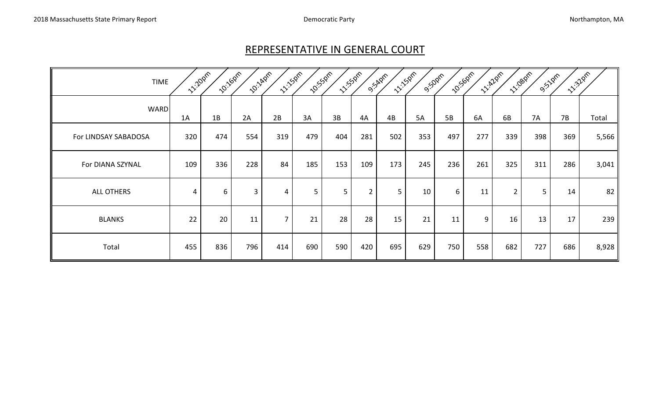#### REPRESENTATIVE IN GENERAL COURT

| <b>TIME</b>          | <b>11:20pm</b> | <b>10:160m</b> | <b>10:140m</b> | <b>11:150M</b> | <b>10:55pm</b> | <b>11:530m</b> |                | <b>11:15pm</b><br>9.54pm | 9:50pm | <b>10:50pm</b> | <b>12/2/2nh</b> |                | <b>11:080m</b><br><b>9:51pm</b> | <b>11.320m</b> |       |
|----------------------|----------------|----------------|----------------|----------------|----------------|----------------|----------------|--------------------------|--------|----------------|-----------------|----------------|---------------------------------|----------------|-------|
| <b>WARD</b>          | 1A             | 1B             | 2A             | 2B             | 3A             | 3B             | 4A             | 4B                       | 5A     | 5B             | 6A              | 6B             | 7A                              | <b>7B</b>      | Total |
| For LINDSAY SABADOSA | 320            | 474            | 554            | 319            | 479            | 404            | 281            | 502                      | 353    | 497            | 277             | 339            | 398                             | 369            | 5,566 |
| For DIANA SZYNAL     | 109            | 336            | 228            | 84             | 185            | 153            | 109            | 173                      | 245    | 236            | 261             | 325            | 311                             | 286            | 3,041 |
| ALL OTHERS           | 4              | 6              | 3              | 4              | 5              | 5 <sup>5</sup> | $\overline{2}$ | 5 <sup>5</sup>           | 10     | 6              | 11              | $\overline{2}$ | 5                               | 14             | 82    |
| <b>BLANKS</b>        | 22             | 20             | 11             | $\overline{7}$ | 21             | 28             | 28             | 15                       | 21     | 11             | 9               | 16             | 13                              | 17             | 239   |
| Total                | 455            | 836            | 796            | 414            | 690            | 590            | 420            | 695                      | 629    | 750            | 558             | 682            | 727                             | 686            | 8,928 |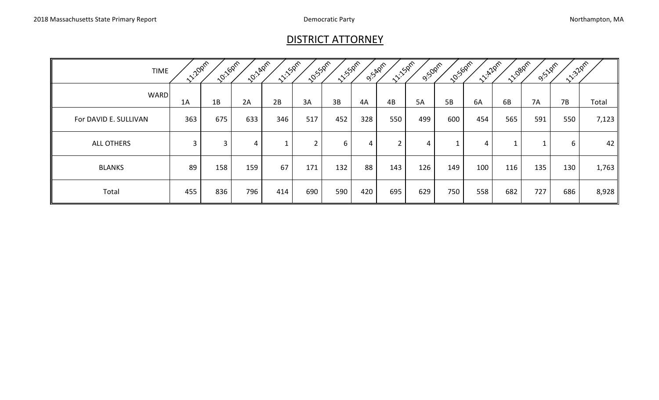## DISTRICT ATTORNEY

| <b>TIME</b>           | <b>11:20pm</b> | 10:1687 | <b>20:14pm</b> | 11.150m | <b>20:53</b> 0m | <b>11-150MM</b> | O.S.Aprr       | <b>11-15pm</b> | <b>9:50pm</b>  | <b>10:50pm</b> | <b>122</b> Pro | <b>11:08pm</b> | <b>9:</b> 1/2m | 1.32pm |       |
|-----------------------|----------------|---------|----------------|---------|-----------------|-----------------|----------------|----------------|----------------|----------------|----------------|----------------|----------------|--------|-------|
| <b>WARD</b>           | 1A             | 1B      | 2A             | 2B      | 3A              | 3B              | 4A             | 4B             | <b>5A</b>      | 5B             | 6A             | 6B             | <b>7A</b>      | 7B     | Total |
| For DAVID E. SULLIVAN | 363            | 675     | 633            | 346     | 517             | 452             | 328            | 550            | 499            | 600            | 454            | 565            | 591            | 550    | 7,123 |
| <b>ALL OTHERS</b>     | 3              | 3       | 4              |         | ◠<br>∠          | 6               | $\overline{4}$ | $\overline{2}$ | $\overline{4}$ |                | 4              |                |                | 6      | 42    |
| <b>BLANKS</b>         | 89             | 158     | 159            | 67      | 171             | 132             | 88             | 143            | 126            | 149            | 100            | 116            | 135            | 130    | 1,763 |
| Total                 | 455            | 836     | 796            | 414     | 690             | 590             | 420            | 695            | 629            | 750            | 558            | 682            | 727            | 686    | 8,928 |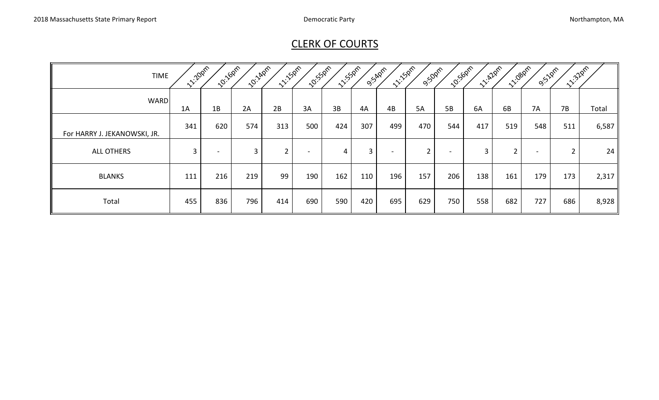# CLERK OF COURTS

| <b>TIME</b>                  | <b>11:20pm</b> | <b>2011-00M</b>          | <b>10:140M</b> | <b>11:150m</b> | <b>2015</b> SOM | <b>11:55pm</b> |     | <b>11-150m</b><br>O.SAPPT | <b>9:50pm</b>  | <b>10:50pm</b> | <b>11: 420m</b> | <b>11:080m2</b> | <b>9:51pm</b>   | <b>11:32</b> pm |       |
|------------------------------|----------------|--------------------------|----------------|----------------|-----------------|----------------|-----|---------------------------|----------------|----------------|-----------------|-----------------|-----------------|-----------------|-------|
| <b>WARD</b>                  | 1A             | 1B                       | 2A             | 2B             | 3A              | 3B             | 4A  | 4B                        | 5A             | 5B             | 6A              | 6B              | <b>7A</b>       | 7B              | Total |
| For HARRY J. JEKANOWSKI, JR. | 341            | 620                      | 574            | 313            | 500             | 424            | 307 | 499                       | 470            | 544            | 417             | 519             | 548             | 511             | 6,587 |
| <b>ALL OTHERS</b>            | $\overline{3}$ | $\overline{\phantom{0}}$ | $\mathbf{3}$   | ົາ             | $\blacksquare$  | $\overline{4}$ | 3   |                           | $\overline{2}$ |                | 3               | ∠               | $\qquad \qquad$ | $\overline{2}$  | 24    |
| <b>BLANKS</b>                | 111            | 216                      | 219            | 99             | 190             | 162            | 110 | 196                       | 157            | 206            | 138             | 161             | 179             | 173             | 2,317 |
| Total                        | 455            | 836                      | 796            | 414            | 690             | 590            | 420 | 695                       | 629            | 750            | 558             | 682             | 727             | 686             | 8,928 |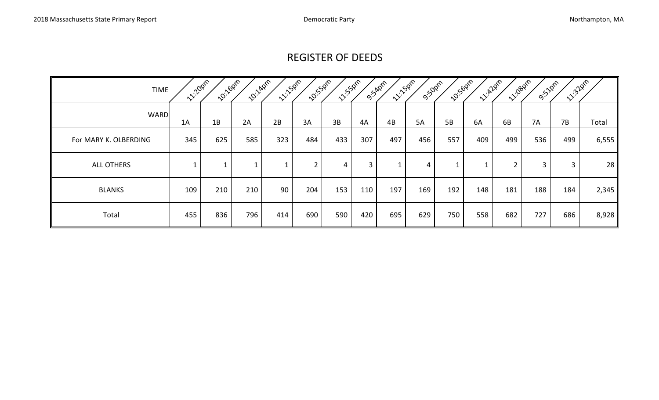# REGISTER OF DEEDS

| <b>TIME</b>           | <b>11:20pm</b> | <b>10:16pm</b> | <b>10:140m</b> | <b>11:150m</b> | <b>2.55pm</b>  | <b>11:550m2</b> |              | <b>11:150m</b><br>O.S.Aprr | <b>9:50pm</b> | <b>10:50pm</b> | <b>11.22pm</b> | <b>11:080m</b> | <b>9:51pm</b> | 11:320m |       |
|-----------------------|----------------|----------------|----------------|----------------|----------------|-----------------|--------------|----------------------------|---------------|----------------|----------------|----------------|---------------|---------|-------|
| <b>WARD</b>           | 1A             | 1B             | 2A             | 2B             | 3A             | 3B              | 4A           | 4B                         | <b>5A</b>     | 5B             | 6A             | 6B             | 7A            | 7B      | Total |
| For MARY K. OLBERDING | 345            | 625            | 585            | 323            | 484            | 433             | 307          | 497                        | 456           | 557            | 409            | 499            | 536           | 499     | 6,555 |
| <b>ALL OTHERS</b>     |                | -1             |                |                | $\overline{2}$ | 4               | $\mathbf{3}$ |                            | 4             |                |                | $\overline{2}$ | $\mathbf{3}$  | 3       | 28    |
| <b>BLANKS</b>         | 109            | 210            | 210            | 90             | 204            | 153             | 110          | 197                        | 169           | 192            | 148            | 181            | 188           | 184     | 2,345 |
| Total                 | 455            | 836            | 796            | 414            | 690            | 590             | 420          | 695                        | 629           | 750            | 558            | 682            | 727           | 686     | 8,928 |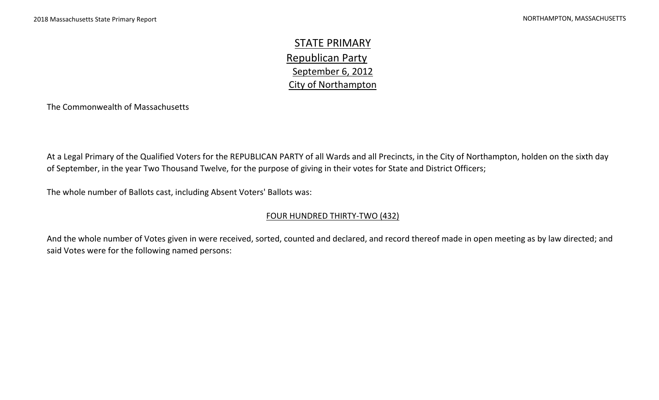STATE PRIMARY Republican Party September 6, 2012 City of Northampton

The Commonwealth of Massachusetts

At a Legal Primary of the Qualified Voters for the REPUBLICAN PARTY of all Wards and all Precincts, in the City of Northampton, holden on the sixth day of September, in the year Two Thousand Twelve, for the purpose of giving in their votes for State and District Officers;

The whole number of Ballots cast, including Absent Voters' Ballots was:

#### FOUR HUNDRED THIRTY-TWO (432)

And the whole number of Votes given in were received, sorted, counted and declared, and record thereof made in open meeting as by law directed; and said Votes were for the following named persons: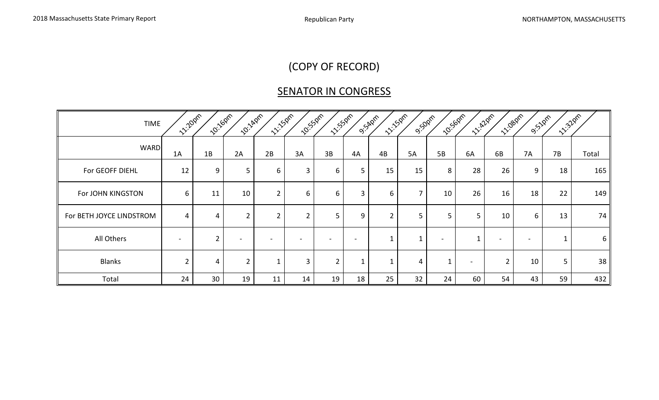# (COPY OF RECORD)

# SENATOR IN CONGRESS

| <b>TIME</b>              | 11:20pm        | <b>12:160m2</b> | <b>2012-</b> 2017 | 11-15-00m      | <b>10:</b> 550m | <b>11/5/2017</b> |                          | 11:50m<br>O'SARDIT | 9:50pm         | 10:50pm                  | <b>12/20m</b>            | 11:08pm     | <b>9.51pm</b> | 12:32pm |       |
|--------------------------|----------------|-----------------|-------------------|----------------|-----------------|------------------|--------------------------|--------------------|----------------|--------------------------|--------------------------|-------------|---------------|---------|-------|
| <b>WARD</b>              | 1A             | 1B              | 2A                | 2B             | 3A              | 3B               | 4A                       | 4B                 | 5A             | 5B                       | 6A                       | 6B          | <b>7A</b>     | 7B      | Total |
| For GEOFF DIEHL          | 12             | 9               | 5 <sup>5</sup>    | 6              | 3               | 6                | 5                        | 15                 | 15             | 8                        | 28                       | 26          | 9             | 18      | 165   |
| For JOHN KINGSTON        | 6              | 11              | 10                | $\overline{2}$ | 6               | 6                | 3                        | 6                  | $\overline{7}$ | 10                       | 26                       | 16          | 18            | 22      | 149   |
| For BETH JOYCE LINDSTROM | 4              | 4               | $\overline{2}$    | $\overline{2}$ | $\overline{2}$  | 5                | 9                        |                    | 5              | 5                        | 5                        | 10          | 6             | 13      | 74    |
| All Others               | $\blacksquare$ | $\overline{2}$  |                   |                |                 |                  | $\overline{\phantom{0}}$ |                    | 1              | $\overline{\phantom{0}}$ |                          |             |               |         | 6     |
| <b>Blanks</b>            | $\overline{2}$ | 4               | $2^{\circ}$       |                | 3               | $2^{\circ}$      |                          |                    | 4              |                          | $\overline{\phantom{0}}$ | $2^{\circ}$ | 10            | 5       | 38    |
| Total                    | 24             | 30              | 19                | 11             | 14              | 19               | 18                       | 25                 | 32             | 24                       | 60                       | 54          | 43            | 59      | 432   |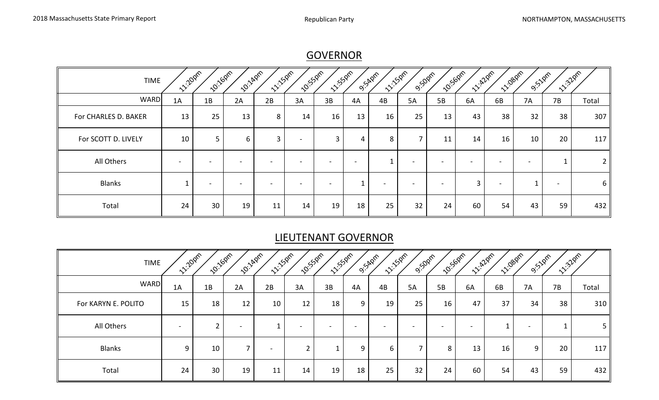**GOVERNOR** 

| <b>TIME</b>          | <b>12-20pm</b>           | 10:160m | <b>10:140M</b> | 11:150m | <b>10:55pm</b> | <b>11/550ml</b> |    | <b>11:50m</b><br>O.S.Apm | <b>9:50pm</b> | 10:50pm | 11/2/2pm | 11:080m                  | <b>9:51</b> 0m           | 12-328m                  |                |
|----------------------|--------------------------|---------|----------------|---------|----------------|-----------------|----|--------------------------|---------------|---------|----------|--------------------------|--------------------------|--------------------------|----------------|
| <b>WARD</b>          | 1A                       | 1B      | 2A             | 2B      | 3A             | 3B              | 4A | 4B                       | <b>5A</b>     | 5B      | 6A       | 6B                       | <b>7A</b>                | 7B                       | Total          |
| For CHARLES D. BAKER | 13                       | 25      | 13             | 8       | 14             | 16              | 13 | 16                       | 25            | 13      | 43       | 38                       | 32                       | 38                       | 307            |
| For SCOTT D. LIVELY  | 10                       | 5       | 6              | 3       |                | 3               | 4  | 8                        |               | 11      | 14       | 16                       | 10                       | 20                       | 117            |
| All Others           | $\overline{\phantom{0}}$ |         |                |         |                |                 |    |                          |               |         |          |                          | $\overline{\phantom{a}}$ |                          | $\overline{2}$ |
| <b>Blanks</b>        |                          |         |                |         |                |                 |    |                          |               |         | 3        | $\overline{\phantom{a}}$ |                          | $\overline{\phantom{a}}$ | $6 \mid$       |
| Total                | 24                       | 30      | 19             | 11      | 14             | 19              | 18 | 25                       | 32            | 24      | 60       | 54                       | 43                       | 59                       | 432            |

# LIEUTENANT GOVERNOR

| <b>TIME</b>         | <b>1220pm</b>            | 10:160m | <b>10:14pm</b>           | <b>11:150m</b> | 10:550m                       | <b>11/5/2m2</b>          |                          | <b>11-150m</b><br>O.S.Aprr | <b>9:50pm</b>            | <b>10:56pm</b>           | <b>122pm</b> | <b>11/1080M</b> | <b>9:518m</b>            | 11:32 pm |                |
|---------------------|--------------------------|---------|--------------------------|----------------|-------------------------------|--------------------------|--------------------------|----------------------------|--------------------------|--------------------------|--------------|-----------------|--------------------------|----------|----------------|
| <b>WARD</b>         | 1A                       | 1B      | 2A                       | 2B             | 3A                            | 3B                       | 4A                       | 4B                         | 5A                       | 5B                       | 6A           | 6B              | 7A                       | 7B       | Total          |
| For KARYN E. POLITO | 15                       | 18      | 12                       | 10             | 12                            | 18                       | 9                        | 19                         | 25                       | 16                       | 47           | 37              | 34                       | 38       | 310            |
| All Others          | $\overline{\phantom{0}}$ | ຳ       |                          | ᅩ              |                               | $\overline{\phantom{0}}$ | $\overline{\phantom{0}}$ | $\overline{\phantom{a}}$   | $\overline{\phantom{a}}$ | $\overline{\phantom{a}}$ | $\sim$       |                 | $\overline{\phantom{a}}$ |          | 5 <sub>1</sub> |
| <b>Blanks</b>       | 9                        | 10      | $\overline{\phantom{a}}$ |                | $\overline{\phantom{0}}$<br>∠ |                          | 9                        | 6                          | $\overline{\phantom{a}}$ | 8                        | 13           | 16              | 9                        | 20       | 117            |
| Total               | 24                       | 30      | 19                       | 11             | 14                            | 19                       | 18                       | 25                         | 32                       | 24                       | 60           | 54              | 43                       | 59       | 432            |

17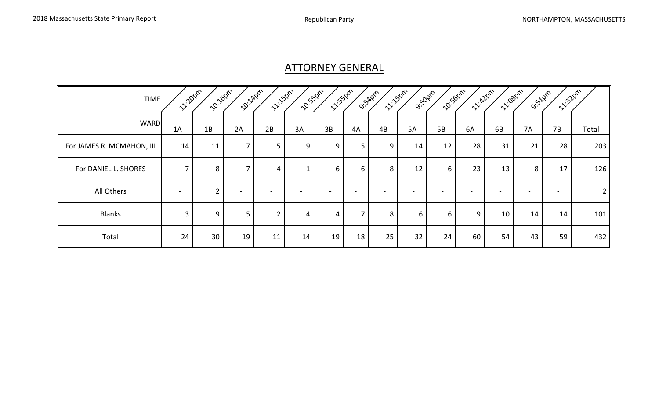## ATTORNEY GENERAL

| <b>TIME</b>               | <b>12/2021</b>           | <b>10:160m</b> | <b>20:140M</b> | <b>11:50m</b>  | 10:55 pm                 | <b>11/55</b> 0m | O. SADM                  | <b>11:50m</b> | <b>9:50pm</b>            | 10:56pm | 12/12pm                  | 11/1080m | <b>9:510m</b> | 11:32pm                  |                |
|---------------------------|--------------------------|----------------|----------------|----------------|--------------------------|-----------------|--------------------------|---------------|--------------------------|---------|--------------------------|----------|---------------|--------------------------|----------------|
| <b>WARD</b>               | 1A                       | 1B             | 2A             | 2B             | 3A                       | 3B              | 4A                       | 4B            | <b>5A</b>                | 5B      | 6A                       | 6B       | <b>7A</b>     | 7B                       | Total          |
| For JAMES R. MCMAHON, III | 14                       | 11             | 7              | 5              | 9                        | 9               | 5                        | 9             | 14                       | 12      | 28                       | 31       | 21            | 28                       | 203            |
| For DANIEL L. SHORES      | $\overline{ }$           | 8              | 7              | 4              |                          | 6               | 6                        | 8             | 12                       | 6       | 23                       | 13       | 8             | 17                       | 126            |
| All Others                | $\overline{\phantom{a}}$ | $\overline{2}$ |                |                | $\overline{\phantom{0}}$ | -               | $\overline{\phantom{0}}$ |               | $\overline{\phantom{0}}$ |         | $\overline{\phantom{0}}$ |          |               | $\overline{\phantom{a}}$ | 2 <sub>1</sub> |
| <b>Blanks</b>             | $\overline{3}$           | 9              | 5              | $\overline{2}$ | 4                        | 4               | $\overline{\phantom{a}}$ | 8             | 6                        | 6       | 9                        | 10       | 14            | 14                       | 101            |
| Total                     | 24                       | 30             | 19             | 11             | 14                       | 19              | 18                       | 25            | 32 <sup>2</sup>          | 24      | 60                       | 54       | 43            | 59                       | 432            |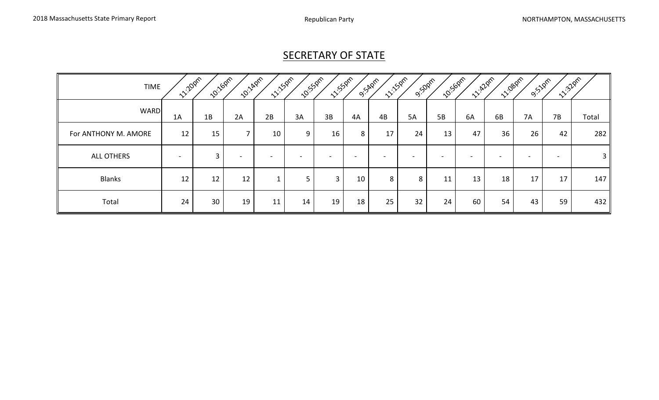# **SECRETARY OF STATE**

| <b>TIME</b>          | <b>11:20pm</b>           | <b>10:16pm</b> | <b>10:14pm</b> | <b>11:150m</b> | <b>10:55pm</b> | <b>11:50ml</b>           |    | <b>11:150m</b><br>O.S.Aprr | <b>9:50pm</b>            | <b>10:50pm</b>           | <b>1220m</b> | 11:080m | <b>9.51pm</b> | 11:32pm                  |               |
|----------------------|--------------------------|----------------|----------------|----------------|----------------|--------------------------|----|----------------------------|--------------------------|--------------------------|--------------|---------|---------------|--------------------------|---------------|
| <b>WARD</b>          | 1A                       | 1B             | 2A             | 2B             | 3A             | 3B                       | 4A | 4B                         | 5A                       | 5B                       | 6A           | 6B      | 7A            | 7B                       | Total         |
| For ANTHONY M. AMORE | 12                       | 15             |                | 10             | 9              | 16                       | 8  | 17                         | 24                       | 13                       | 47           | 36      | 26            | 42                       | 282           |
| <b>ALL OTHERS</b>    | $\overline{\phantom{a}}$ | 3              |                |                |                | $\overline{\phantom{0}}$ | -  | $\overline{\phantom{0}}$   | $\overline{\phantom{0}}$ | $\overline{\phantom{0}}$ |              |         | -             | $\overline{\phantom{a}}$ | $3 \parallel$ |
| <b>Blanks</b>        | 12                       | 12             | 12             |                | 5              | 3                        | 10 | 8                          | 8                        | 11                       | 13           | 18      | 17            | 17                       | 147h          |
| Total                | 24                       | 30             | 19             | 11             | 14             | 19                       | 18 | 25                         | 32                       | 24                       | 60           | 54      | 43            | 59                       | 432           |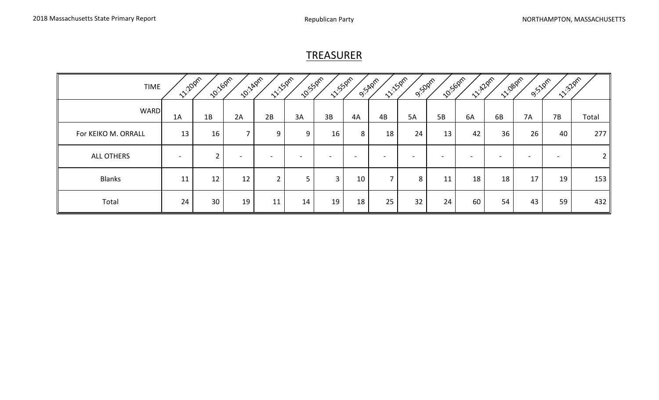#### **TREASURER**

| <b>TIME</b>         | <b>11:20pm</b>  | <b>10:16pm</b> | <b>10:140m</b> | <b>11:150m</b> | <b>10:55pm</b> | <b>11:50ml</b> |    | <b>11:150m</b><br><b>9:54pm</b> | <b>9:50pm</b> | <b>10:50pm</b>           | <b>1220m</b> | 11:080m | <b>9.51pm</b> | 12:32pm |                 |
|---------------------|-----------------|----------------|----------------|----------------|----------------|----------------|----|---------------------------------|---------------|--------------------------|--------------|---------|---------------|---------|-----------------|
| <b>WARD</b>         | 1A              | 1B             | 2A             | 2B             | 3A             | 3B             | 4A | 4B                              | <b>5A</b>     | 5B                       | 6A           | 6B      | 7A            | 7B      | Total           |
| For KEIKO M. ORRALL | 13              | 16             |                | 9              | 9              | 16             | 8  | 18                              | 24            | 13                       | 42           | 36      | 26            | 40      | 277             |
| <b>ALL OTHERS</b>   | $\qquad \qquad$ |                |                |                |                |                |    |                                 |               | $\overline{\phantom{0}}$ |              |         |               |         | 2               |
| <b>Blanks</b>       | 11              | 12             | 12             | ົາ             | 5              | 3              | 10 | $\overline{ }$                  | 8             | 11                       | 18           | 18      | 17            | 19      | 153             |
| Total               | 24              | 30             | 19             | 11             | 14             | 19             | 18 | 25                              | 32            | 24                       | 60           | 54      | 43            | 59      | 432 $\parallel$ |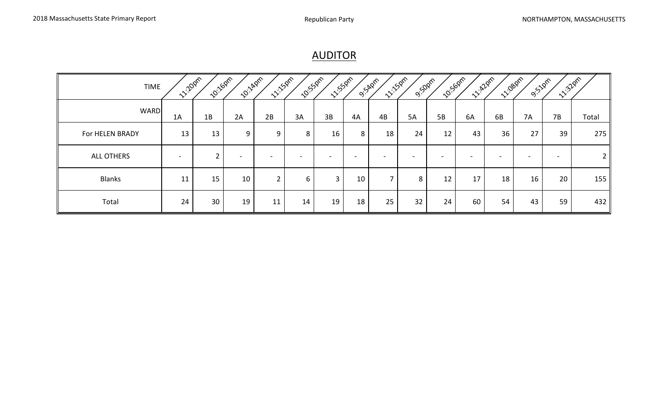## AUDITOR

| <b>TIME</b>       | <b>11:20pm</b>           | 10:160m | <b>10:140m</b> | <b>11:150m</b>           | <b>10:55pm</b>           | <b>11:55pm</b>           |                          | <b>11:150m</b><br>O.S.Appr | <b>9:50pm</b>   | <b>12:50pm</b>           | <b>1220m</b>    | <b>11:080m2</b>          | <b>9:51pm</b>            | 11:32pm                  |                |
|-------------------|--------------------------|---------|----------------|--------------------------|--------------------------|--------------------------|--------------------------|----------------------------|-----------------|--------------------------|-----------------|--------------------------|--------------------------|--------------------------|----------------|
| <b>WARD</b>       | 1A                       | 1B      | 2A             | 2B                       | 3A                       | 3B                       | 4A                       | 4B                         | 5A              | 5B                       | 6A              | 6B                       | 7A                       | 7B                       | Total          |
| For HELEN BRADY   | 13                       | 13      | 9              | 9                        | 8                        | 16                       | 8                        | 18                         | 24              | 12                       | 43              | 36                       | 27                       | 39                       | 275            |
| <b>ALL OTHERS</b> | $\overline{\phantom{a}}$ | ົ       |                | $\overline{\phantom{0}}$ | $\overline{\phantom{0}}$ | $\overline{\phantom{0}}$ | $\overline{\phantom{a}}$ | $\overline{\phantom{0}}$   | $\sim$          | $\overline{\phantom{a}}$ | $\qquad \qquad$ | $\overline{\phantom{0}}$ | $\overline{\phantom{a}}$ | $\overline{\phantom{a}}$ | 2 <sub>l</sub> |
| <b>Blanks</b>     | 11                       | 15      | 10             | $\overline{2}$           | 6                        | 3                        | 10                       | $\overline{ }$             | 8               | 12                       | 17              | 18                       | 16                       | 20                       | 155            |
| Total             | 24                       | 30      | 19             | 11                       | 14                       | 19                       | 18                       | 25                         | 32 <sup>2</sup> | 24                       | 60              | 54                       | 43                       | 59                       | 432            |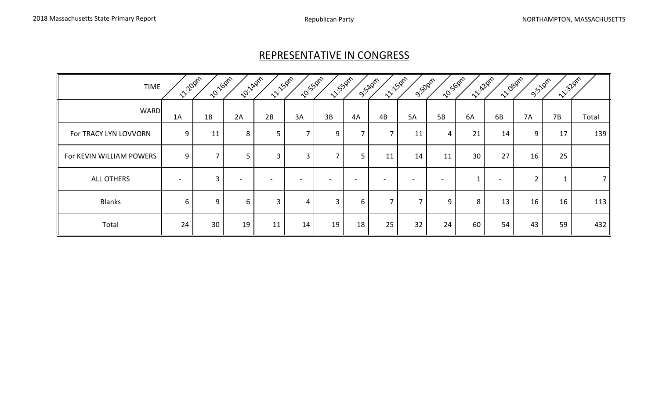## REPRESENTATIVE IN CONGRESS

| <b>TIME</b>              | <b>1220pm</b>  | <b>10:16pm</b>           | <b>10:140m</b> | <b>11:150m</b> | <b>10:55</b> 0m          | <b>11:55pm</b>           |        | <b>11:150m</b><br>O.S.Apm | <b>9:50pm</b>            | <b>10:50pm</b>           | <b>1220m</b> | 11:080m | <b>9:51pm</b>  | 11:32pm |                |
|--------------------------|----------------|--------------------------|----------------|----------------|--------------------------|--------------------------|--------|---------------------------|--------------------------|--------------------------|--------------|---------|----------------|---------|----------------|
| <b>WARD</b>              | 1A             | 1B                       | 2A             | 2B             | 3A                       | 3B                       | 4A     | 4B                        | <b>5A</b>                | 5B                       | 6A           | 6B      | <b>7A</b>      | 7B      | Total          |
| For TRACY LYN LOVVORN    | 9              | 11                       | 8              | 5              | $\overline{\phantom{a}}$ | 9                        |        |                           | 11                       | 4                        | 21           | 14      | 9              | 17      | 139            |
| For KEVIN WILLIAM POWERS | 9              | $\overline{\phantom{a}}$ | 5              | 3              | 3                        | $\overline{\phantom{a}}$ | 5      | 11                        | 14                       | 11                       | 30           | 27      | 16             | 25      |                |
| <b>ALL OTHERS</b>        | $\blacksquare$ | $\overline{3}$           |                |                |                          |                          | $\sim$ | $\overline{\phantom{a}}$  | $\overline{\phantom{0}}$ | $\overline{\phantom{a}}$ |              |         | $\overline{2}$ |         | $\overline{7}$ |
| <b>Blanks</b>            | 6              | 9                        | 6              | 3              | 4                        | 3                        | 6      |                           |                          | 9                        | 8            | 13      | 16             | 16      | 113            |
| Total                    | 24             | 30                       | 19             | 11             | 14                       | 19                       | 18     | 25                        | 32                       | 24                       | 60           | 54      | 43             | 59      | 432            |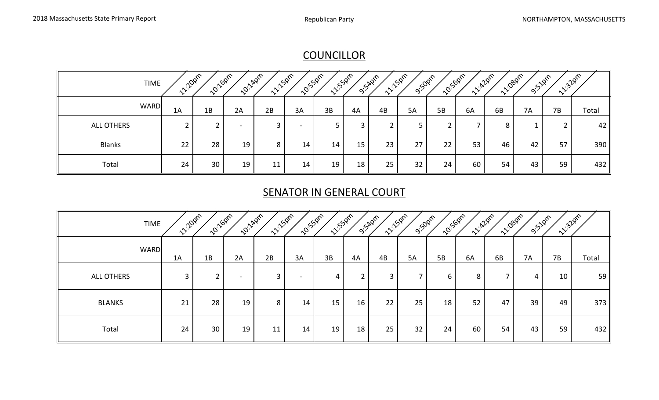## **COUNCILLOR**

| <b>TIME</b>   | <b>12-2020</b> | <b>10:16pm</b> | <b>10:140M</b>           | <b>11:50ml</b> | <b>10:52pm</b>           | <b>11:52pm</b> | <b>9.54</b> 0m | <b>11:50m</b> | <b>9:50pm</b> | <b>10:50pm</b> | <b>11.22pm</b> | <b>11:08pm</b> | <b>9:51</b> 0m | <b>11:32pm</b> |       |
|---------------|----------------|----------------|--------------------------|----------------|--------------------------|----------------|----------------|---------------|---------------|----------------|----------------|----------------|----------------|----------------|-------|
| <b>WARD</b>   | 1A             | 1B             | 2A                       | 2B             | 3A                       | 3B             | 4A             | 4B            | 5A            | 5B             | 6A             | 6B             | 7A             | 7B             | Total |
| ALL OTHERS    |                | ີ              | $\overline{\phantom{0}}$ |                | $\overline{\phantom{0}}$ |                | 3              |               |               |                |                | 8              |                | ◠              | 42    |
| <b>Blanks</b> | 22             | 28             | 19                       | 8              | 14                       | 14             | 15             | 23            | 27            | 22             | 53             | 46             | 42             | 57             | 390   |
| Total         | 24             | 30             | 19                       | 11             | 14                       | 19             | 18             | 25            | 32            | 24             | 60             | 54             | 43             | 59             | 432   |

# **SENATOR IN GENERAL COURT**

| <b>TIME</b>       | <b>11:20pm</b> | <b>10:160m</b> | <b>10:14pm</b> | <b>11:150m</b> | <b>10:55pm</b> | <b>11/5/21m</b> |             | <b>11:50m</b><br><b>9:54pm</b> | 9:50pm | <b>10:56pm</b> | <b>1220m</b> | <b>11/1080m</b> | <b>9:51pm</b> | 12.32pm |       |
|-------------------|----------------|----------------|----------------|----------------|----------------|-----------------|-------------|--------------------------------|--------|----------------|--------------|-----------------|---------------|---------|-------|
| <b>WARD</b>       | 1A             | 1B             | 2A             | 2B             | 3A             | 3B              | 4A          | 4B                             | 5A     | 5B             | 6A           | 6B              | <b>7A</b>     | 7B      | Total |
| <b>ALL OTHERS</b> | 3              | ົ<br>∠         |                | 3              |                | 4               | $2^{\circ}$ | 3                              | ⇁      | 6              | 8            | ⇁               | 4             | 10      | 59    |
| <b>BLANKS</b>     | 21             | 28             | 19             | 8              | 14             | 15              | 16          | 22                             | 25     | 18             | 52           | 47              | 39            | 49      | 373   |
| Total             | 24             | 30             | 19             | 11             | 14             | 19              | 18          | 25                             | 32     | 24             | 60           | 54              | 43            | 59      | 432   |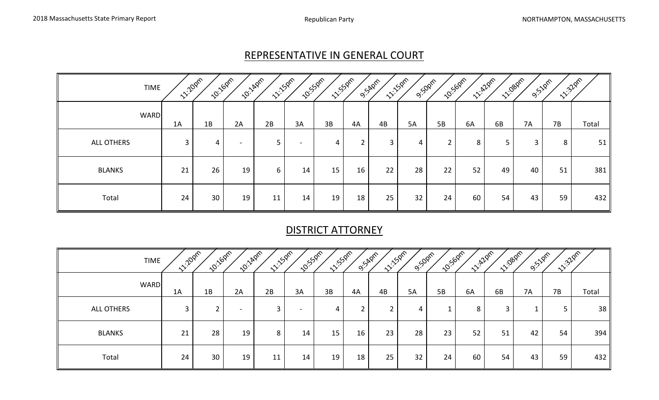#### REPRESENTATIVE IN GENERAL COURT

| <b>TIME</b>       | <b>1220pm</b> | <b>10:16pm</b> | <b>10:140m</b>           | <b>11:150M</b> | <b>10:550m2</b> | <b>11:55pm</b> |             | O.S.Appro | <b>11:150m</b><br>9:50pm |                | <b>10:50pm</b> | <b>12-22pm</b> | <b>11/1080m</b><br><b>9:</b> 22pm | <b>11:32</b> 0m |                 |
|-------------------|---------------|----------------|--------------------------|----------------|-----------------|----------------|-------------|-----------|--------------------------|----------------|----------------|----------------|-----------------------------------|-----------------|-----------------|
| <b>WARD</b>       | 1A            | 1B             | 2A                       | 2B             | 3A              | 3B             | 4A          | 4B        | 5A                       | 5B             | 6A             | 6B             | 7A                                | 7B              | Total           |
| <b>ALL OTHERS</b> | 3             | 4              | $\overline{\phantom{0}}$ | 5              |                 | 4              | $2^{\circ}$ | 3         | 4                        | $\overline{2}$ | 8              | 5              | 3                                 | 8               | 51              |
| <b>BLANKS</b>     | 21            | 26             | 19                       | 6              | 14              | 15             | 16          | 22        | 28                       | 22             | 52             | 49             | 40                                | 51              | 381             |
| Total             | 24            | 30             | 19                       | 11             | 14              | 19             | 18          | 25        | 32                       | 24             | 60             | 54             | 43                                | 59              | 432 $\parallel$ |

# DISTRICT ATTORNEY

| <b>TIME</b>   | <b>11:20pm</b> | <b>10:16pm</b> | <b>LO.</b> LADIN         | <b>11:150m</b> | <b>10:52pm</b>           | <b>11:53</b> 0m | O.S.Appro | <b>11:150m</b> | <b>9:50pm</b> | <b>10:50pm</b> | <b>11: 420m</b> | <b>11:080M</b> | <b>9:51</b> 0m | <b>11:320m</b> |       |
|---------------|----------------|----------------|--------------------------|----------------|--------------------------|-----------------|-----------|----------------|---------------|----------------|-----------------|----------------|----------------|----------------|-------|
| <b>WARD</b>   | 1A             | 1B             | 2A                       | 2B             | 3A                       | 3B              | 4A        | 4B             | 5A            | 5B             | 6A              | 6B             | <b>7A</b>      | 7B             | Total |
| ALL OTHERS    | 3              | $\epsilon$     | $\overline{\phantom{a}}$ | 3              | $\overline{\phantom{0}}$ | 4               | ∠         |                | 4             |                | 8               | 3              |                | 5              | 38    |
| <b>BLANKS</b> | 21             | 28             | 19                       | 8              | 14                       | 15              | 16        | 23             | 28            | 23             | 52              | 51             | 42             | 54             | 394   |
| Total         | 24             | 30             | 19                       | 11             | 14                       | 19              | 18        | 25             | 32            | 24             | 60              | 54             | 43             | 59             | 432   |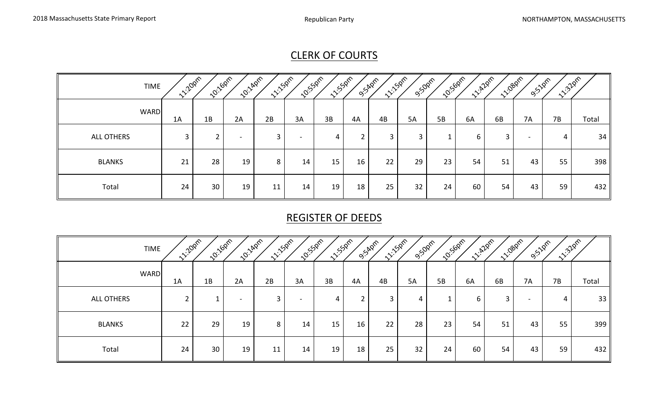# CLERK OF COURTS

| <b>TIME</b>   | <b>11:20pm</b> | <b>10:16pm</b> | <b>10:140m</b> | <b>11:150m</b> | <b>10:55pm</b>           | <b>11/5/21m</b> | O.S.Aprr | <b>11:150m</b> | <b>9:50pm</b> | <b>1015-50pm</b> | <b>11: 420m</b> | <b>11/1080m</b> | O. SZPIR                 | <b>11:32pm</b> |       |
|---------------|----------------|----------------|----------------|----------------|--------------------------|-----------------|----------|----------------|---------------|------------------|-----------------|-----------------|--------------------------|----------------|-------|
| <b>WARD</b>   | 1A             | 1B             | 2A             | 2B             | 3A                       | 3B              | 4A       | 4B             | 5A            | 5B               | 6A              | 6B              | <b>7A</b>                | 7B             | Total |
| ALL OTHERS    | 3              | $\overline{2}$ | -              | 3              | $\overline{\phantom{0}}$ | 4               |          | 3              | 3             |                  | 6               | 3               | $\overline{\phantom{0}}$ | 4              | 34    |
| <b>BLANKS</b> | 21             | 28             | 19             | 8              | 14                       | 15              | 16       | 22             | 29            | 23               | 54              | 51              | 43                       | 55             | 398   |
| Total         | 24             | 30             | 19             | 11             | 14                       | 19              | 18       | 25             | 32            | 24               | 60              | 54              | 43                       | 59             | 432   |

# REGISTER OF DEEDS

| <b>TIME</b>   | <b>11:20pm</b> | <b>10:160m</b> | <b>10:140m</b> | <b>11:50ml</b> | <b>10:55pm</b> | <b>11-550M</b> | O.S.Apm | <b>11:150m</b> | 9:50pm | <b>10:56pm</b> | <b>1220m</b> | <b>12-198</b> 0m | 9:52pm                   | <b>11:32pm</b> |       |
|---------------|----------------|----------------|----------------|----------------|----------------|----------------|---------|----------------|--------|----------------|--------------|------------------|--------------------------|----------------|-------|
| <b>WARD</b>   | 1A             | 1B             | 2A             | 2B             | 3A             | 3B             | 4A      | 4B             | 5A     | 5B             | 6A           | 6B               | 7A                       | 7B             | Total |
| ALL OTHERS    | $\overline{2}$ |                |                | 3              |                | 4              | ຳ       | 3              | 4      |                | 6            | 3                | $\overline{\phantom{0}}$ | 4              | 33    |
| <b>BLANKS</b> | 22             | 29             | 19             | 8              | 14             | 15             | 16      | 22             | 28     | 23             | 54           | 51               | 43                       | 55             | 399   |
| Total         | 24             | 30             | 19             | 11             | 14             | 19             | 18      | 25             | 32     | 24             | 60           | 54               | 43                       | 59             | 432   |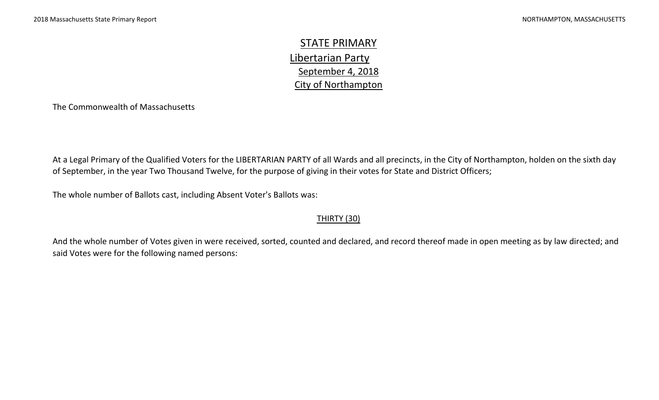STATE PRIMARY Libertarian Party September 4, 2018 City of Northampton

The Commonwealth of Massachusetts

At a Legal Primary of the Qualified Voters for the LIBERTARIAN PARTY of all Wards and all precincts, in the City of Northampton, holden on the sixth day of September, in the year Two Thousand Twelve, for the purpose of giving in their votes for State and District Officers;

The whole number of Ballots cast, including Absent Voter's Ballots was:

#### **THIRTY (30)**

And the whole number of Votes given in were received, sorted, counted and declared, and record thereof made in open meeting as by law directed; and said Votes were for the following named persons: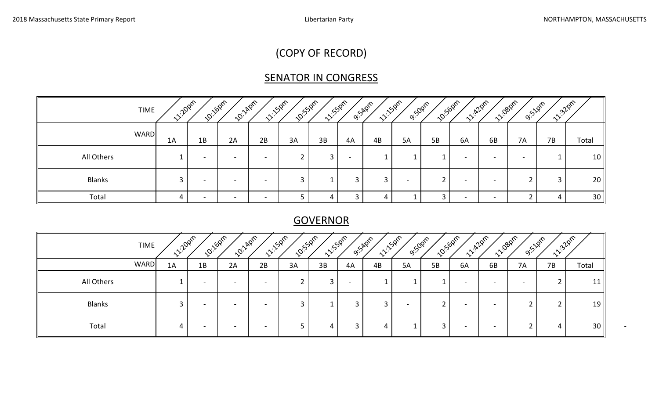# (COPY OF RECORD)

# **SENATOR IN CONGRESS**

| <b>TIME</b>   | <b>11:20pm</b> | <b>10:16pm</b> | <b>10:14pm</b>           | <b>11:150m</b>           | <b>10:52pm</b> | <b>11:52pm</b> | <b>9:54</b> 2m           | <b>11.150ml</b> | <b>9:50pm</b> | <b>10:50pm</b> | <b>1220m</b>             | 11:08pm                  | O. SZPM | <b>11:32pm</b> |       |
|---------------|----------------|----------------|--------------------------|--------------------------|----------------|----------------|--------------------------|-----------------|---------------|----------------|--------------------------|--------------------------|---------|----------------|-------|
| <b>WARD</b>   | 1A             | 1B             | 2A                       | 2B                       | 3A             | 3B             | 4A                       | 4B              | 5A            | 5B             | 6A                       | 6B                       | 7A      | 7B             | Total |
| All Others    |                | $\sim$         | $\sim$                   | $\overline{\phantom{0}}$ |                |                | $\overline{\phantom{0}}$ |                 |               |                | $\overline{\phantom{0}}$ | $\overline{\phantom{0}}$ |         |                | 10    |
| <b>Blanks</b> |                | $\sim$         | $\overline{\phantom{a}}$ | $\overline{\phantom{0}}$ |                |                |                          |                 |               |                | $\overline{\phantom{0}}$ | $\overline{\phantom{0}}$ |         | 3              | 20    |
| Total         |                | $\sim$         | $\sim$                   | $\sim$                   |                | 4              |                          | 4               |               |                | $\overline{\phantom{0}}$ | $\overline{\phantom{0}}$ |         | 4              | 30    |

## **GOVERNOR**

| <b>TIME</b>   | 11:20pm | <b>10:16pm</b>           | <b>2011/4/215</b> | 11:50m                   | 10:550m | 11:53 pm |    | O.S.Aprr | <b>11:150ml</b><br>9:50pm |    | <b>10:50pm</b>           | 11:080m<br><b>11: 428m</b> | O.S.10m   | <b>11:32pm</b> |                 |
|---------------|---------|--------------------------|-------------------|--------------------------|---------|----------|----|----------|---------------------------|----|--------------------------|----------------------------|-----------|----------------|-----------------|
| <b>WARD</b>   | 1A      | 1B                       | 2A                | 2B                       | 3A      | 3B       | 4A | 4B       | 5A                        | 5B | 6A                       | 6B                         | <b>7A</b> | 7B             | Total           |
| All Others    |         |                          |                   |                          |         |          |    |          |                           |    | $\overline{\phantom{0}}$ | $\overline{\phantom{0}}$   |           | <u>_</u>       | 11              |
| <b>Blanks</b> |         | $\overline{\phantom{0}}$ | -                 | $\overline{\phantom{a}}$ |         |          |    |          |                           |    | $\,$                     | $\overline{\phantom{0}}$   |           |                | 19 I            |
| Total         |         | $\overline{\phantom{0}}$ | -                 |                          |         | Д        |    | 4        |                           |    | $\,$                     | $\overline{\phantom{0}}$   |           | 4              | 30 <sub>1</sub> |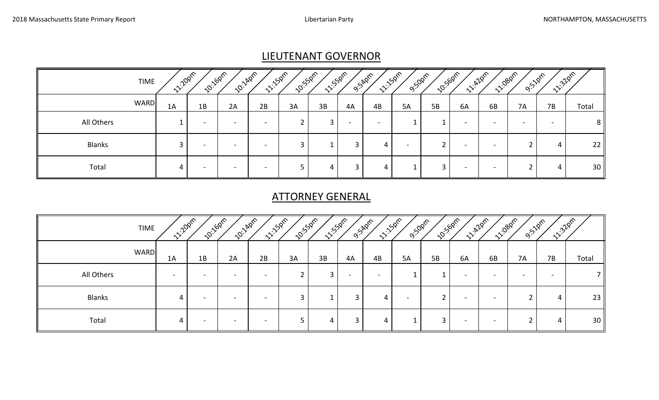## LIEUTENANT GOVERNOR

| <b>TIME</b>   | <b>11:20pm</b> | <b>10:16pm</b>           | <b>2011/40m</b>          | <b>11:15pm</b>           | <b>10:55pm</b> | <b>11:52pm</b> | <b>9:54</b> 2m           | <b>11:150m</b> | <b>9:50pm</b> | <b>10:50pm</b> | <b>11.22pm</b>           | 11:08pm                  | <b>9:51pm</b> | <b>11:32pm</b> |                 |
|---------------|----------------|--------------------------|--------------------------|--------------------------|----------------|----------------|--------------------------|----------------|---------------|----------------|--------------------------|--------------------------|---------------|----------------|-----------------|
| <b>WARD</b>   | 1A             | 1B                       | 2A                       | 2B                       | 3A             | 3B             | 4A                       | 4B             | 5A            | <b>5B</b>      | 6A                       | 6B                       | <b>7A</b>     | 7B             | Total           |
| All Others    |                | $\overline{\phantom{0}}$ | -                        | -                        |                |                | $\overline{\phantom{0}}$ |                |               |                | $\overline{\phantom{0}}$ | -                        |               |                | 8 <sup>1</sup>  |
| <b>Blanks</b> |                | $\overline{\phantom{a}}$ | $\overline{\phantom{0}}$ | $\overline{\phantom{0}}$ |                |                |                          | 4              |               |                | $\sim$                   | $\overline{\phantom{0}}$ |               | 4              | 22              |
| Total         |                | $\overline{\phantom{0}}$ | $\overline{\phantom{0}}$ | $\overline{\phantom{0}}$ |                | 4              |                          | 4              |               |                |                          | $\overline{\phantom{0}}$ |               | 4              | 30 <sub>1</sub> |

# ATTORNEY GENERAL

| <b>TIME</b>   | <b>12/202m</b>           | <b>10:16pm</b> | <b>10:14pm</b> | <b>11:15pm</b> | <b>ZO:</b> SSPM | <b>11:53pm</b> | <b>9.54</b> pm | <b>11:150M</b> | <b>9:50pm</b> | <b>10:50pm</b> | <b>11: 428m</b>          | <b>11-1989M</b> | <b>9:51</b> 0m | <b>12-22pm</b> |                 |
|---------------|--------------------------|----------------|----------------|----------------|-----------------|----------------|----------------|----------------|---------------|----------------|--------------------------|-----------------|----------------|----------------|-----------------|
| <b>WARD</b>   | 1A                       | 1B             | 2A             | 2B             | 3A              | 3B             | 4A             | 4B             | 5A            | 5B             | 6A                       | 6B              | 7A             | 7B             | Total           |
| All Others    | $\overline{\phantom{0}}$ |                |                |                |                 |                |                |                | ᅩ             |                | ۰                        |                 |                |                |                 |
| <b>Blanks</b> |                          |                |                |                |                 |                | 3              | 4              |               |                | $\overline{\phantom{0}}$ |                 |                | 4              | 23              |
| Total         |                          |                |                |                |                 |                | 3              | 4              |               | 3              | $\overline{\phantom{0}}$ | -               |                | 4              | 30 <sup>1</sup> |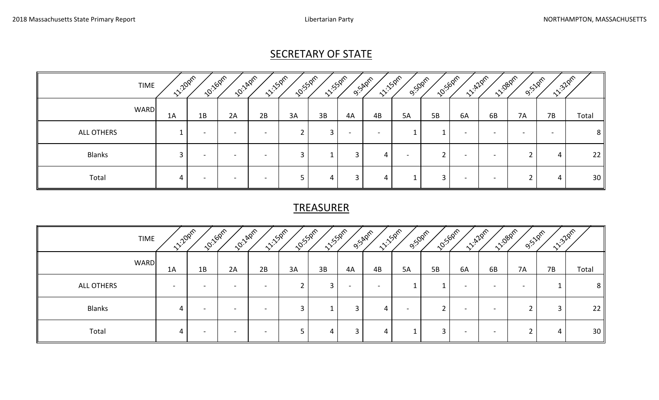# SECRETARY OF STATE

| <b>TIME</b>   | <b>1220pm</b> | <b>10:16pm</b>           | <b>ZO:</b> LAPIT | <b>11:150M</b>           | <b>10:</b> 550m | <b>11/5/2m2</b> | <b>9:54</b> pm | <b>11:50ml</b>           | <b>9:50pm</b> | <b>10:56pm</b> | <b>11-122pm</b>          | <b>11-1080M</b>          | 9.52pm                   | <b>11.32pm</b> |                |
|---------------|---------------|--------------------------|------------------|--------------------------|-----------------|-----------------|----------------|--------------------------|---------------|----------------|--------------------------|--------------------------|--------------------------|----------------|----------------|
| <b>WARD</b>   | 1A            | 1B                       | 2A               | 2B                       | 3A              | 3B              | 4A             | 4B                       | 5A            | <b>5B</b>      | 6A                       | 6B                       | <b>7A</b>                | 7B             | Total          |
| ALL OTHERS    |               | $\overline{\phantom{0}}$ | -                | $\overline{\phantom{0}}$ |                 |                 |                | $\overline{\phantom{0}}$ |               |                | $\overline{\phantom{0}}$ | $\overline{\phantom{0}}$ | $\overline{\phantom{0}}$ |                | 8 <sup>1</sup> |
| <b>Blanks</b> | ີ             | $\overline{\phantom{0}}$ | -                | -                        | ີ               |                 |                | 4                        |               | $\mathbf{r}$   | $\overline{\phantom{0}}$ | -                        | ົ                        | 4              | 22             |
| Total         |               | $\overline{\phantom{0}}$ | -                | -                        |                 | 4               |                | 4                        |               | 3              | -                        | -                        |                          | 4              | 30             |

## TREASURER

|               | <b>TIME</b> | <b>1220pm</b>            | <b>10-160m</b>           | <b>10:140m</b>           | <b>11:150m</b>           | <b>10:</b> 550m | <b>11:52pm</b> |      | <b>11:150ml</b><br>O.SAPIR | <b>9:50pm</b> | <b>10:50pm</b> | <b>11:A20m</b>           | <b>11-1080M</b>          | 9:52pm | <b>11:32pm</b> |                 |
|---------------|-------------|--------------------------|--------------------------|--------------------------|--------------------------|-----------------|----------------|------|----------------------------|---------------|----------------|--------------------------|--------------------------|--------|----------------|-----------------|
|               | <b>WARD</b> | 1A                       | 1B                       | 2A                       | 2B                       | 3A              | 3B             | 4A   | 4B                         | 5A            | 5B             | 6A                       | 6B                       | 7A     | 7B             | Total           |
| ALL OTHERS    |             | $\overline{\phantom{0}}$ |                          |                          | $\overline{\phantom{0}}$ |                 | 3              | $\,$ |                            |               |                | $\overline{\phantom{0}}$ | $\overline{\phantom{a}}$ |        |                | 8 <sup>1</sup>  |
| <b>Blanks</b> |             | 4                        | $\overline{\phantom{0}}$ | $\overline{\phantom{0}}$ | $\overline{\phantom{0}}$ |                 | ᆠ              | 3    | 4                          |               | ີ              | $\overline{\phantom{0}}$ | $\overline{\phantom{0}}$ |        | 3              | 22 <sub>1</sub> |
| Total         |             | 4                        | $\overline{\phantom{0}}$ | $\overline{\phantom{a}}$ | $\overline{\phantom{a}}$ |                 | 4              |      | 4                          |               | 3              | $\overline{\phantom{0}}$ | $\overline{\phantom{0}}$ |        | 4              | 30              |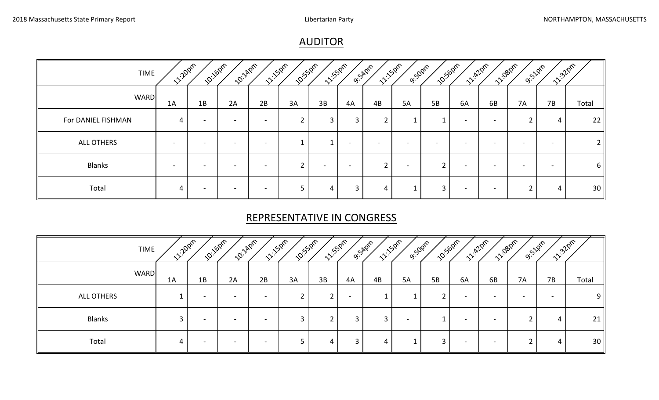## AUDITOR

| <b>TIME</b>        | <b>1220AM</b>            | 10:16pm                  | <b>10:14pm</b>           | <b>11:150m</b>           | <b>10:53pm</b> | 11:550m |    | <b>11:150m</b><br>O.S.Aprr | 9:50pm | <b>101:50pm</b>          |                          | <b>1220m</b><br><b>11-1980</b> m | <b>9:51pm</b> | 11:32pm |                 |
|--------------------|--------------------------|--------------------------|--------------------------|--------------------------|----------------|---------|----|----------------------------|--------|--------------------------|--------------------------|----------------------------------|---------------|---------|-----------------|
| <b>WARD</b>        | 1A                       | 1B                       | 2A                       | 2B                       | 3A             | 3B      | 4A | 4B                         | 5A     | 5B                       | 6A                       | 6B                               | 7A            | 7B      | Total           |
| For DANIEL FISHMAN | 4                        | $\overline{\phantom{0}}$ | $\overline{\phantom{a}}$ | $\overline{\phantom{0}}$ |                |         | 3  |                            |        |                          | $\overline{\phantom{0}}$ | $\overline{\phantom{0}}$         |               | 4       | 22 <sub>1</sub> |
| <b>ALL OTHERS</b>  | $\overline{\phantom{a}}$ |                          |                          |                          |                |         |    |                            |        | $\overline{\phantom{0}}$ | $\overline{\phantom{a}}$ |                                  |               |         |                 |
| <b>Blanks</b>      | $\overline{\phantom{a}}$ |                          | -                        |                          |                |         |    |                            |        | ົ                        | $\overline{\phantom{a}}$ |                                  |               |         | $6 \mid$        |
| Total              | 4                        | $\overline{\phantom{0}}$ | $\overline{\phantom{0}}$ | -                        | 5              | 4       | 3  | 4                          |        | $\overline{3}$           | $\overline{\phantom{0}}$ | $\overline{\phantom{a}}$         |               | 4       | 30 <sup>1</sup> |

## REPRESENTATIVE IN CONGRESS

| <b>TIME</b>   | <b>11:20pm</b> | <b>10:16pm</b>           | <b>ZO:</b> LAPTA         | <b>11:15pm</b> | <b>10:</b> 550m | <b>11:550mm</b> |    | <b>11:150M</b><br>O.S.Apm | <b>9:50pm</b> | <b>10:50pm</b> | <b>11: 428m</b>          |                          | <b>11:08pm</b><br>9.52pm | <b>11:32</b> pm |       |
|---------------|----------------|--------------------------|--------------------------|----------------|-----------------|-----------------|----|---------------------------|---------------|----------------|--------------------------|--------------------------|--------------------------|-----------------|-------|
| <b>WARD</b>   | 1A             | 1B                       | 2A                       | 2B             | 3A              | 3B              | 4A | 4B                        | 5A            | 5B             | 6A                       | 6B                       | 7A                       | 7B              | Total |
| ALL OTHERS    |                | $\overline{\phantom{0}}$ | $\overline{\phantom{0}}$ | -              |                 |                 | -  |                           | ᅩ             |                | $\overline{\phantom{a}}$ | $\overline{\phantom{0}}$ | $\overline{\phantom{0}}$ |                 | 9     |
| <b>Blanks</b> |                | $\overline{\phantom{0}}$ | $\overline{\phantom{0}}$ | -              |                 |                 | 3  | 3                         |               |                | ۰                        |                          |                          | 4               | 21    |
| Total         |                | -                        | -                        |                |                 | 4               | 3  | 4                         |               | 3              | $\overline{\phantom{a}}$ | ۰                        |                          | 4               | 30    |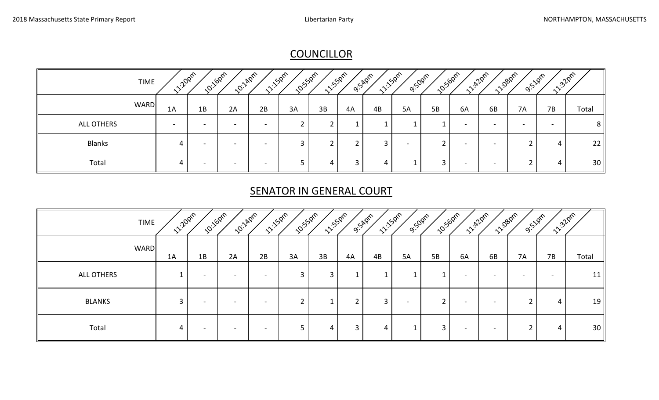# **COUNCILLOR**

|               | <b>10:50pm</b><br><b>10:140M</b><br><b>11:50m</b><br><b>10:160m</b><br><b>11:52pm</b><br><b>10:</b> 55pm<br><b>11:32pm</b><br>11. 420m<br><b>11:150m</b><br>11:08pm<br><b>12-20pm</b><br><b>9:50pm</b><br><b>9:52pm</b><br><b>9:54</b> 2m<br><b>TIME</b> |                          |                          |                          |                          |    |    |    |    |    |    |                          |                          |           |                          |                |
|---------------|----------------------------------------------------------------------------------------------------------------------------------------------------------------------------------------------------------------------------------------------------------|--------------------------|--------------------------|--------------------------|--------------------------|----|----|----|----|----|----|--------------------------|--------------------------|-----------|--------------------------|----------------|
|               | <b>WARD</b>                                                                                                                                                                                                                                              | 1A                       | 1B                       | 2A                       | 2B                       | 3A | 3B | 4A | 4B | 5A | 5B | 6A                       | 6B                       | <b>7A</b> | 7B                       | Total          |
| ALL OTHERS    |                                                                                                                                                                                                                                                          | $\overline{\phantom{0}}$ | $\overline{\phantom{0}}$ | $\overline{\phantom{a}}$ | $\overline{\phantom{0}}$ |    |    |    |    |    |    | $\overline{\phantom{0}}$ | $\overline{\phantom{0}}$ |           | $\overline{\phantom{0}}$ | 8 <sup>1</sup> |
| <b>Blanks</b> |                                                                                                                                                                                                                                                          | 4                        | $\overline{\phantom{0}}$ | $\overline{\phantom{a}}$ | $\overline{\phantom{a}}$ |    |    |    |    |    |    | $\sim$                   | $\overline{\phantom{0}}$ |           | 4                        | 22             |
| Total         |                                                                                                                                                                                                                                                          | 4                        | $\overline{\phantom{0}}$ | $\overline{\phantom{0}}$ | $\overline{\phantom{0}}$ |    | 4  |    | 4  |    |    | $\overline{\phantom{0}}$ |                          |           | 4                        | 30             |

# **SENATOR IN GENERAL COURT**

| 102160m<br><b>10:140m</b><br><b>11:150m</b><br><b>12:20pm</b><br><b>11:150M</b><br><b>1220m</b><br><b>10:55pm</b><br><b>11-1080M</b><br><b>11/5/21m</b><br><b>10:50pm</b><br>11:32pm<br>O.S.Aprr<br>9:52pm<br><b>9:50pm</b><br><b>TIME</b> |    |                          |                          |                          |    |    |    |    |                          |    |                          |                          |    |    |       |
|--------------------------------------------------------------------------------------------------------------------------------------------------------------------------------------------------------------------------------------------|----|--------------------------|--------------------------|--------------------------|----|----|----|----|--------------------------|----|--------------------------|--------------------------|----|----|-------|
| <b>WARD</b>                                                                                                                                                                                                                                | 1A | 1B                       | 2A                       | 2B                       | 3A | 3B | 4A | 4B | 5A                       | 5B | 6A                       | 6B                       | 7A | 7B | Total |
| ALL OTHERS                                                                                                                                                                                                                                 |    |                          |                          |                          | 3  | 3  |    |    |                          |    | -                        | -                        |    |    | 11    |
| <b>BLANKS</b>                                                                                                                                                                                                                              | 3  | $\overline{\phantom{0}}$ | $\overline{\phantom{0}}$ | $\overline{\phantom{0}}$ |    |    |    | 3  | $\overline{\phantom{0}}$ | ำ  | $\overline{\phantom{0}}$ | $\overline{\phantom{a}}$ |    | 4  | 19    |
| Total                                                                                                                                                                                                                                      |    |                          |                          |                          |    | 4  | 3  | 4  |                          | 3  | $\overline{\phantom{0}}$ | $\overline{\phantom{a}}$ |    | 4  | 30    |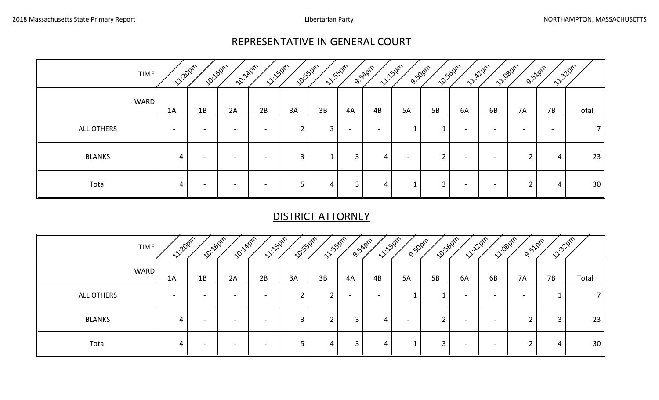## REPRESENTATIVE IN GENERAL COURT

| <b>TIME</b>   |      | <b>12:20pm</b>           | <b>10:16pm</b><br><b>10:140m</b> | <b>11:50m</b>                | <b>10:55pm</b> | <b>11/5/2ml</b> |                          | O.S.Apm                  | <b>11:150m</b><br><b>9:50pm</b> |    | <b>10-</b> 1500m         | <b>1228M</b>             | <b>12-1980m</b><br>9:51pm | <b>11:32pm</b> |                 |
|---------------|------|--------------------------|----------------------------------|------------------------------|----------------|-----------------|--------------------------|--------------------------|---------------------------------|----|--------------------------|--------------------------|---------------------------|----------------|-----------------|
| <b>WARD</b>   | 1A   | 1B                       | 2A                               | 2B                           | 3A             | 3B              | 4A                       | 4B                       | 5A                              | 5B | 6A                       | 6B                       | 7A                        | 7B             | Total           |
| ALL OTHERS    | $\,$ | $\overline{\phantom{a}}$ | -                                | $\qquad \qquad \blacksquare$ | ົ              | 3               | $\overline{\phantom{0}}$ | $\overline{\phantom{0}}$ |                                 |    | $\overline{\phantom{0}}$ | $\overline{\phantom{0}}$ | $\overline{\phantom{0}}$  |                |                 |
| <b>BLANKS</b> | 4    | $\blacksquare$           | $\,$                             | $\overline{\phantom{a}}$     | 3              |                 | 3                        | 4                        |                                 | ົາ | $\overline{\phantom{a}}$ | $\overline{\phantom{a}}$ |                           | 4              | 23              |
| Total         |      |                          |                                  |                              |                | 4               | 3                        | 4                        | ᅩ                               | 3  | $\overline{\phantom{0}}$ |                          |                           | 4              | 30 <sup>1</sup> |

#### DISTRICT ATTORNEY

| <b>TIME</b>   | <b>12/20pm</b>           | <b>10:160m2</b>          | <b>10:140m</b>           | <b>11:150m</b>           | <b>10:55pm</b> | <b>11:55</b> 0m | O'SADm | <b>11-150M</b>           | 9:50pm | <b>10:50pm</b> |                          | <b>11.420m</b><br><b>11-1080M</b> | 9:52pm    | <b>11:32pm</b> |                 |
|---------------|--------------------------|--------------------------|--------------------------|--------------------------|----------------|-----------------|--------|--------------------------|--------|----------------|--------------------------|-----------------------------------|-----------|----------------|-----------------|
| <b>WARD</b>   | 1A                       | 1B                       | 2A                       | 2B                       | 3A             | 3B              | 4A     | 4B                       | 5A     | 5B             | 6A                       | 6B                                | <b>7A</b> | 7B             | Total           |
| ALL OTHERS    | $\overline{\phantom{0}}$ |                          |                          | -                        |                |                 |        | $\overline{\phantom{0}}$ |        |                | $\overline{\phantom{0}}$ | -                                 |           |                |                 |
| <b>BLANKS</b> | 4                        | $\overline{\phantom{0}}$ | $\overline{\phantom{0}}$ | $\overline{\phantom{0}}$ |                |                 | 3      | 4                        |        |                | $\overline{\phantom{a}}$ | $\overline{\phantom{a}}$          |           | 3              | 23              |
| Total         | 4                        |                          |                          | -                        |                | 4               | 3      | 4                        | ᆠ      | 3              | $\overline{\phantom{0}}$ |                                   |           | 4              | 30 <sup>1</sup> |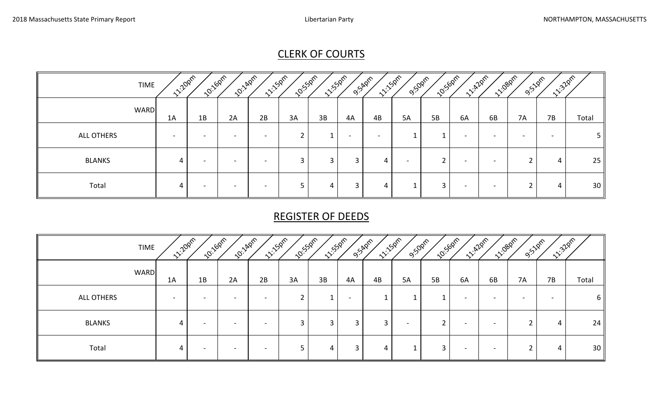# CLERK OF COURTS

| <b>TIME</b>   | <b>12/2021</b> | 102160m2                 | <b>10:14pm</b>           | <b>11-150m</b>           | <b>10:</b> 550m | <b>11/5/21m</b> | O.S.A.Pr | <b>11-150m</b> | <b>9:50pm</b> | <b>10:50pm</b> | <b>11:A20m</b> | <b>11-1080M</b>          | <b>9:52pm</b> | <b>11:32pm</b> |                |
|---------------|----------------|--------------------------|--------------------------|--------------------------|-----------------|-----------------|----------|----------------|---------------|----------------|----------------|--------------------------|---------------|----------------|----------------|
| <b>WARD</b>   | 1A             | 1B                       | 2A                       | 2B                       | 3A              | 3B              | 4A       | 4B             | 5A            | 5B             | 6A             | 6B                       | <b>7A</b>     | 7B             | Total          |
| ALL OTHERS    |                |                          |                          |                          |                 |                 |          |                |               |                | -              |                          |               |                | 5 I            |
| <b>BLANKS</b> | 4              | $\overline{\phantom{0}}$ | $\overline{\phantom{0}}$ | $\overline{\phantom{0}}$ | 3               | 3               | 3        | 4              |               | ົ              | -              | $\overline{\phantom{0}}$ | ົ             | 4              | $25 \parallel$ |
| Total         | 4              |                          | $\overline{\phantom{a}}$ | $\overline{\phantom{0}}$ |                 | 4               |          | 4              |               | 3              | $\blacksquare$ | $\overline{\phantom{a}}$ |               | 4              | 30             |

# REGISTER OF DEEDS

| <b>TIME</b>   | <b>12-202m</b>           | <b>10:160m</b>           | <b>10:140m</b>           | <b>11:150m</b>           | <b>10:55pm</b> | <b>11/5/21m</b> | O'SADm | <b>11:150m</b> | <b>9:50pm</b> | <b>10:50pm</b> |                          | <b>11-12-07</b>          | <b>11-1080M</b> | <b>11:32pm</b><br><b>9:51pm</b> |                 |
|---------------|--------------------------|--------------------------|--------------------------|--------------------------|----------------|-----------------|--------|----------------|---------------|----------------|--------------------------|--------------------------|-----------------|---------------------------------|-----------------|
| <b>WARD</b>   | 1A                       | 1B                       | 2A                       | 2B                       | 3A             | 3B              | 4A     | 4B             | 5A            | 5B             | 6A                       | 6B                       | <b>7A</b>       | 7B                              | Total           |
| ALL OTHERS    | $\overline{\phantom{a}}$ |                          | $\overline{\phantom{a}}$ | $\blacksquare$           |                |                 |        |                |               |                | $\sim$                   | $\overline{\phantom{0}}$ | $\sim$          |                                 | 6               |
| <b>BLANKS</b> | 4                        | $\overline{\phantom{0}}$ | $\overline{\phantom{a}}$ | $\blacksquare$           | 3              |                 | -5     | 3              |               | ີ              | $\overline{\phantom{0}}$ | $\overline{\phantom{a}}$ |                 | 4                               | 24              |
| Total         | 4                        |                          | $\overline{\phantom{0}}$ | $\overline{\phantom{0}}$ | 5              | 4               | 3      | 4              |               | 3              | $\overline{\phantom{0}}$ |                          |                 | 4                               | 30 <sup>1</sup> |